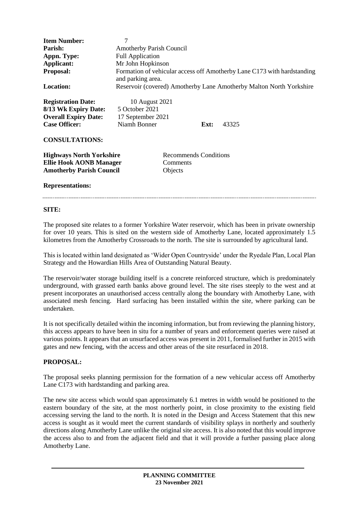| <b>Item Number:</b><br>Parish:<br>Appn. Type:<br>Applicant:<br><b>Proposal:</b>                                                   | 7<br><b>Amotherby Parish Council</b><br><b>Full Application</b><br>Mr John Hopkinson<br>and parking area. |                                                     |      | Formation of vehicular access off Amotherby Lane C173 with hardstanding |  |
|-----------------------------------------------------------------------------------------------------------------------------------|-----------------------------------------------------------------------------------------------------------|-----------------------------------------------------|------|-------------------------------------------------------------------------|--|
| <b>Location:</b>                                                                                                                  | Reservoir (covered) Amotherby Lane Amotherby Malton North Yorkshire                                       |                                                     |      |                                                                         |  |
| <b>Registration Date:</b><br>8/13 Wk Expiry Date:<br><b>Overall Expiry Date:</b><br><b>Case Officer:</b><br><b>CONSULTATIONS:</b> | 10 August 2021<br>5 October 2021<br>17 September 2021<br>Niamh Bonner                                     |                                                     | Ext: | 43325                                                                   |  |
| <b>Highways North Yorkshire</b><br><b>Ellie Hook AONB Manager</b><br><b>Amotherby Parish Council</b>                              |                                                                                                           | <b>Recommends Conditions</b><br>Comments<br>Objects |      |                                                                         |  |
| <b>Representations:</b>                                                                                                           |                                                                                                           |                                                     |      |                                                                         |  |

### **SITE:**

The proposed site relates to a former Yorkshire Water reservoir, which has been in private ownership for over 10 years. This is sited on the western side of Amotherby Lane, located approximately 1.5 kilometres from the Amotherby Crossroads to the north. The site is surrounded by agricultural land.

This is located within land designated as 'Wider Open Countryside' under the Ryedale Plan, Local Plan Strategy and the Howardian Hills Area of Outstanding Natural Beauty.

The reservoir/water storage building itself is a concrete reinforced structure, which is predominately underground, with grassed earth banks above ground level. The site rises steeply to the west and at present incorporates an unauthorised access centrally along the boundary with Amotherby Lane, with associated mesh fencing. Hard surfacing has been installed within the site, where parking can be undertaken.

It is not specifically detailed within the incoming information, but from reviewing the planning history, this access appears to have been in situ for a number of years and enforcement queries were raised at various points. It appears that an unsurfaced access was present in 2011, formalised further in 2015 with gates and new fencing, with the access and other areas of the site resurfaced in 2018.

# **PROPOSAL:**

The proposal seeks planning permission for the formation of a new vehicular access off Amotherby Lane C173 with hardstanding and parking area.

The new site access which would span approximately 6.1 metres in width would be positioned to the eastern boundary of the site, at the most northerly point, in close proximity to the existing field accessing serving the land to the north. It is noted in the Design and Access Statement that this new access is sought as it would meet the current standards of visibility splays in northerly and southerly directions along Amotherby Lane unlike the original site access. It is also noted that this would improve the access also to and from the adjacent field and that it will provide a further passing place along Amotherby Lane.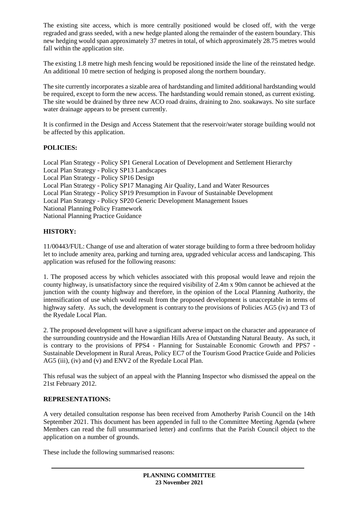The existing site access, which is more centrally positioned would be closed off, with the verge regraded and grass seeded, with a new hedge planted along the remainder of the eastern boundary. This new hedging would span approximately 37 metres in total, of which approximately 28.75 metres would fall within the application site.

The existing 1.8 metre high mesh fencing would be repositioned inside the line of the reinstated hedge. An additional 10 metre section of hedging is proposed along the northern boundary.

The site currently incorporates a sizable area of hardstanding and limited additional hardstanding would be required, except to form the new access. The hardstanding would remain stoned, as current existing. The site would be drained by three new ACO road drains, draining to 2no. soakaways. No site surface water drainage appears to be present currently.

It is confirmed in the Design and Access Statement that the reservoir/water storage building would not be affected by this application.

# **POLICIES:**

Local Plan Strategy - Policy SP1 General Location of Development and Settlement Hierarchy Local Plan Strategy - Policy SP13 Landscapes Local Plan Strategy - Policy SP16 Design Local Plan Strategy - Policy SP17 Managing Air Quality, Land and Water Resources Local Plan Strategy - Policy SP19 Presumption in Favour of Sustainable Development Local Plan Strategy - Policy SP20 Generic Development Management Issues National Planning Policy Framework National Planning Practice Guidance

# **HISTORY:**

11/00443/FUL: Change of use and alteration of water storage building to form a three bedroom holiday let to include amenity area, parking and turning area, upgraded vehicular access and landscaping. This application was refused for the following reasons:

1. The proposed access by which vehicles associated with this proposal would leave and rejoin the county highway, is unsatisfactory since the required visibility of 2.4m x 90m cannot be achieved at the junction with the county highway and therefore, in the opinion of the Local Planning Authority, the intensification of use which would result from the proposed development is unacceptable in terms of highway safety. As such, the development is contrary to the provisions of Policies AG5 (iv) and T3 of the Ryedale Local Plan.

2. The proposed development will have a significant adverse impact on the character and appearance of the surrounding countryside and the Howardian Hills Area of Outstanding Natural Beauty. As such, it is contrary to the provisions of PPS4 - Planning for Sustainable Economic Growth and PPS7 - Sustainable Development in Rural Areas, Policy EC7 of the Tourism Good Practice Guide and Policies AG5 (iii), (iv) and (v) and ENV2 of the Ryedale Local Plan.

This refusal was the subject of an appeal with the Planning Inspector who dismissed the appeal on the 21st February 2012.

# **REPRESENTATIONS:**

A very detailed consultation response has been received from Amotherby Parish Council on the 14th September 2021. This document has been appended in full to the Committee Meeting Agenda (where Members can read the full unsummarised letter) and confirms that the Parish Council object to the application on a number of grounds.

These include the following summarised reasons: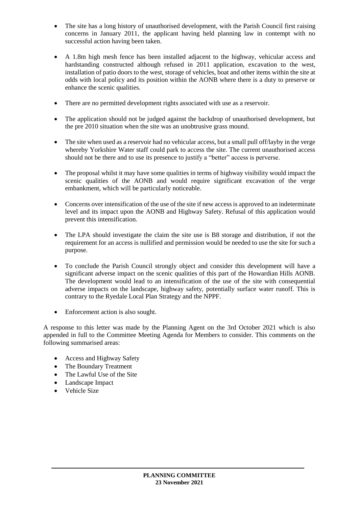- The site has a long history of unauthorised development, with the Parish Council first raising concerns in January 2011, the applicant having held planning law in contempt with no successful action having been taken.
- A 1.8m high mesh fence has been installed adjacent to the highway, vehicular access and hardstanding constructed although refused in 2011 application, excavation to the west, installation of patio doors to the west, storage of vehicles, boat and other items within the site at odds with local policy and its position within the AONB where there is a duty to preserve or enhance the scenic qualities.
- There are no permitted development rights associated with use as a reservoir.
- The application should not be judged against the backdrop of unauthorised development, but the pre 2010 situation when the site was an unobtrusive grass mound.
- The site when used as a reservoir had no vehicular access, but a small pull off/layby in the verge whereby Yorkshire Water staff could park to access the site. The current unauthorised access should not be there and to use its presence to justify a "better" access is perverse.
- The proposal whilst it may have some qualities in terms of highway visibility would impact the scenic qualities of the AONB and would require significant excavation of the verge embankment, which will be particularly noticeable.
- Concerns over intensification of the use of the site if new access is approved to an indeterminate level and its impact upon the AONB and Highway Safety. Refusal of this application would prevent this intensification.
- The LPA should investigate the claim the site use is B8 storage and distribution, if not the requirement for an access is nullified and permission would be needed to use the site for such a purpose.
- To conclude the Parish Council strongly object and consider this development will have a significant adverse impact on the scenic qualities of this part of the Howardian Hills AONB. The development would lead to an intensification of the use of the site with consequential adverse impacts on the landscape, highway safety, potentially surface water runoff. This is contrary to the Ryedale Local Plan Strategy and the NPPF.
- Enforcement action is also sought.

A response to this letter was made by the Planning Agent on the 3rd October 2021 which is also appended in full to the Committee Meeting Agenda for Members to consider. This comments on the following summarised areas:

- Access and Highway Safety
- The Boundary Treatment
- The Lawful Use of the Site
- Landscape Impact
- Vehicle Size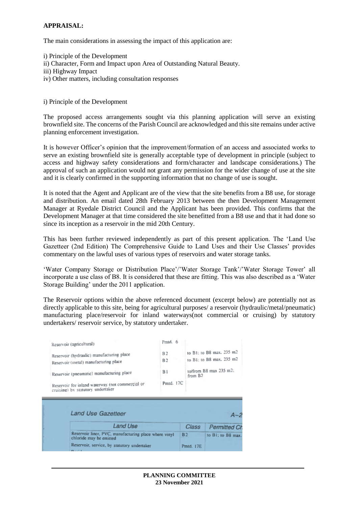### **APPRAISAL:**

The main considerations in assessing the impact of this application are:

- i) Principle of the Development
- ii) Character, Form and Impact upon Area of Outstanding Natural Beauty.
- iii) Highway Impact
- iv) Other matters, including consultation responses

i) Principle of the Development

The proposed access arrangements sought via this planning application will serve an existing brownfield site. The concerns of the Parish Council are acknowledged and this site remains under active planning enforcement investigation.

It is however Officer's opinion that the improvement/formation of an access and associated works to serve an existing brownfield site is generally acceptable type of development in principle (subject to access and highway safety considerations and form/character and landscape considerations.) The approval of such an application would not grant any permission for the wider change of use at the site and it is clearly confirmed in the supporting information that no change of use is sought.

It is noted that the Agent and Applicant are of the view that the site benefits from a B8 use, for storage and distribution. An email dated 28th February 2013 between the then Development Management Manager at Ryedale District Council and the Applicant has been provided. This confirms that the Development Manager at that time considered the site benefitted from a B8 use and that it had done so since its inception as a reservoir in the mid 20th Century.

This has been further reviewed independently as part of this present application. The 'Land Use Gazetteer (2nd Edition) The Comprehensive Guide to Land Uses and their Use Classes' provides commentary on the lawful uses of various types of reservoirs and water storage tanks.

'Water Company Storage or Distribution Place'/'Water Storage Tank'/'Water Storage Tower' all incorporate a use class of B8. It is considered that these are fitting. This was also described as a 'Water Storage Building' under the 2011 application.

The Reservoir options within the above referenced document (excerpt below) are potentially not as directly applicable to this site, being for agricultural purposes/ a reservoir (hydraulic/metal/pneumatic) manufacturing place/reservoir for inland waterways(not commercial or cruising) by statutory undertakers/ reservoir service, by statutory undertaker.

| Land Use                                                                              |                      |                     | <b>Permitted Ch</b>                                  |  |  |
|---------------------------------------------------------------------------------------|----------------------|---------------------|------------------------------------------------------|--|--|
| Land Use Gazetteer                                                                    |                      |                     | $A - 2$                                              |  |  |
| Reservoir for inland waterway (not commercial or<br>cruising) by statutory undertaker | Pmtd. 17C            |                     |                                                      |  |  |
| Reservoir (pneumatic) manufacturing place                                             | B1                   | from B <sub>2</sub> | to/from B8 max 235 m2:                               |  |  |
| Reservoir (hydraulic) manufacturing place<br>Reservoir (metal) manufacturing place    | B2<br>B <sub>2</sub> |                     | to B1; to B8 max, 235 m2<br>to B1: to B8 max. 235 m2 |  |  |
| Reservoir (agricultural)                                                              | Pmtd. 6              |                     |                                                      |  |  |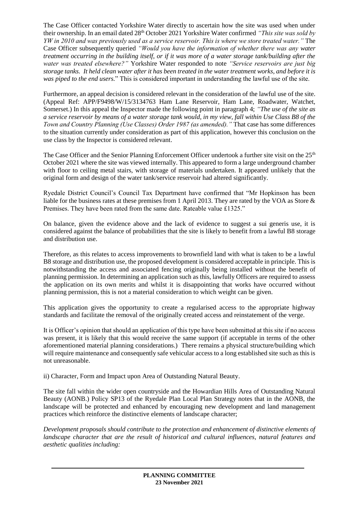The Case Officer contacted Yorkshire Water directly to ascertain how the site was used when under their ownership. In an email dated 28th October 2021 Yorkshire Water confirmed *"This site was sold by YW in 2010 and was previously used as a service reservoir. This is where we store treated water."* The Case Officer subsequently queried *"Would you have the information of whether there was any water treatment occurring in the building itself, or if it was more of a water storage tank/building after the water was treated elsewhere?"* Yorkshire Water responded to note *"Service reservoirs are just big storage tanks. It held clean water after it has been treated in the water treatment works, and before it is was piped to the end users.*" This is considered important in understanding the lawful use of the site.

Furthermore, an appeal decision is considered relevant in the consideration of the lawful use of the site. (Appeal Ref: APP/F9498/W/15/3134763 Ham Lane Reservoir, Ham Lane, Roadwater, Watchet, Somerset.) In this appeal the Inspector made the following point in paragraph 4; *"The use of the site as a service reservoir by means of a water storage tank would, in my view, fall within Use Class B8 of the Town and Country Planning (Use Classes) Order 1987 (as amended)."* That case has some differences to the situation currently under consideration as part of this application, however this conclusion on the use class by the Inspector is considered relevant.

The Case Officer and the Senior Planning Enforcement Officer undertook a further site visit on the 25<sup>th</sup> October 2021 where the site was viewed internally. This appeared to form a large underground chamber with floor to ceiling metal stairs, with storage of materials undertaken. It appeared unlikely that the original form and design of the water tank/service reservoir had altered significantly.

Ryedale District Council's Council Tax Department have confirmed that "Mr Hopkinson has been liable for the business rates at these premises from 1 April 2013. They are rated by the VOA as Store & Premises. They have been rated from the same date. Rateable value £1325."

On balance, given the evidence above and the lack of evidence to suggest a sui generis use, it is considered against the balance of probabilities that the site is likely to benefit from a lawful B8 storage and distribution use.

Therefore, as this relates to access improvements to brownfield land with what is taken to be a lawful B8 storage and distribution use, the proposed development is considered acceptable in principle. This is notwithstanding the access and associated fencing originally being installed without the benefit of planning permission. In determining an application such as this, lawfully Officers are required to assess the application on its own merits and whilst it is disappointing that works have occurred without planning permission, this is not a material consideration to which weight can be given.

This application gives the opportunity to create a regularised access to the appropriate highway standards and facilitate the removal of the originally created access and reinstatement of the verge.

It is Officer's opinion that should an application of this type have been submitted at this site if no access was present, it is likely that this would receive the same support (if acceptable in terms of the other aforementioned material planning considerations.) There remains a physical structure/building which will require maintenance and consequently safe vehicular access to a long established site such as this is not unreasonable.

ii) Character, Form and Impact upon Area of Outstanding Natural Beauty.

The site fall within the wider open countryside and the Howardian Hills Area of Outstanding Natural Beauty (AONB.) Policy SP13 of the Ryedale Plan Local Plan Strategy notes that in the AONB, the landscape will be protected and enhanced by encouraging new development and land management practices which reinforce the distinctive elements of landscape character;

*Development proposals should contribute to the protection and enhancement of distinctive elements of landscape character that are the result of historical and cultural influences, natural features and aesthetic qualities including:*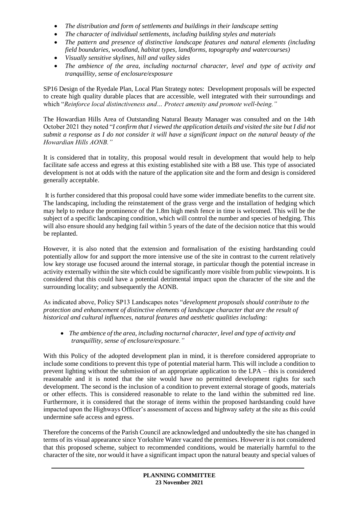- *The distribution and form of settlements and buildings in their landscape setting*
- *The character of individual settlements, including building styles and materials*
- *The pattern and presence of distinctive landscape features and natural elements (including field boundaries, woodland, habitat types, landforms, topography and watercourses)*
- *Visually sensitive skylines, hill and valley sides*
- *The ambience of the area, including nocturnal character, level and type of activity and tranquillity, sense of enclosure/exposure*

SP16 Design of the Ryedale Plan, Local Plan Strategy notes: Development proposals will be expected to create high quality durable places that are accessible, well integrated with their surroundings and which "*Reinforce local distinctiveness and… Protect amenity and promote well-being."*

The Howardian Hills Area of Outstanding Natural Beauty Manager was consulted and on the 14th October 2021 they noted "*I confirm that I viewed the application details and visited the site but I did not submit a response as I do not consider it will have a significant impact on the natural beauty of the Howardian Hills AONB."*

It is considered that in totality, this proposal would result in development that would help to help facilitate safe access and egress at this existing established site with a B8 use. This type of associated development is not at odds with the nature of the application site and the form and design is considered generally acceptable.

It is further considered that this proposal could have some wider immediate benefits to the current site. The landscaping, including the reinstatement of the grass verge and the installation of hedging which may help to reduce the prominence of the 1.8m high mesh fence in time is welcomed. This will be the subject of a specific landscaping condition, which will control the number and species of hedging. This will also ensure should any hedging fail within 5 years of the date of the decision notice that this would be replanted.

However, it is also noted that the extension and formalisation of the existing hardstanding could potentially allow for and support the more intensive use of the site in contrast to the current relatively low key storage use focused around the internal storage, in particular though the potential increase in activity externally within the site which could be significantly more visible from public viewpoints. It is considered that this could have a potential detrimental impact upon the character of the site and the surrounding locality; and subsequently the AONB.

As indicated above, Policy SP13 Landscapes notes "*development proposals should contribute to the protection and enhancement of distinctive elements of landscape character that are the result of historical and cultural influences, natural features and aesthetic qualities including:*

 *The ambience of the area, including nocturnal character, level and type of activity and tranquillity, sense of enclosure/exposure."*

With this Policy of the adopted development plan in mind, it is therefore considered appropriate to include some conditions to prevent this type of potential material harm. This will include a condition to prevent lighting without the submission of an appropriate application to the LPA – this is considered reasonable and it is noted that the site would have no permitted development rights for such development. The second is the inclusion of a condition to prevent external storage of goods, materials or other effects. This is considered reasonable to relate to the land within the submitted red line. Furthermore, it is considered that the storage of items within the proposed hardstanding could have impacted upon the Highways Officer's assessment of access and highway safety at the site as this could undermine safe access and egress.

Therefore the concerns of the Parish Council are acknowledged and undoubtedly the site has changed in terms of its visual appearance since Yorkshire Water vacated the premises. However it is not considered that this proposed scheme, subject to recommended conditions, would be materially harmful to the character of the site, nor would it have a significant impact upon the natural beauty and special values of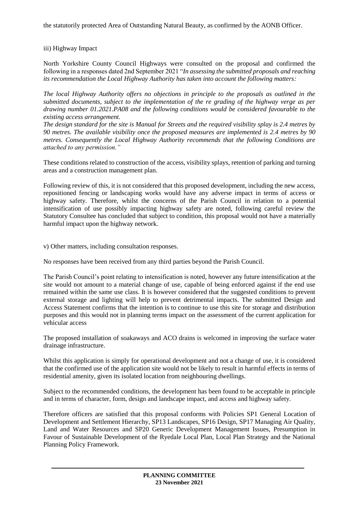the statutorily protected Area of Outstanding Natural Beauty, as confirmed by the AONB Officer.

# iii) Highway Impact

North Yorkshire County Council Highways were consulted on the proposal and confirmed the following in a responses dated 2nd September 2021 "*In assessing the submitted proposals and reaching its recommendation the Local Highway Authority has taken into account the following matters:*

*The local Highway Authority offers no objections in principle to the proposals as outlined in the submitted documents, subject to the implementation of the re grading of the highway verge as per drawing number 01.2021.PA08 and the following conditions would be considered favourable to the existing access arrangement.*

*The design standard for the site is Manual for Streets and the required visibility splay is 2.4 metres by 90 metres. The available visibility once the proposed measures are implemented is 2.4 metres by 90 metres. Consequently the Local Highway Authority recommends that the following Conditions are attached to any permission."*

These conditions related to construction of the access, visibility splays, retention of parking and turning areas and a construction management plan.

Following review of this, it is not considered that this proposed development, including the new access, repositioned fencing or landscaping works would have any adverse impact in terms of access or highway safety. Therefore, whilst the concerns of the Parish Council in relation to a potential intensification of use possibly impacting highway safety are noted, following careful review the Statutory Consultee has concluded that subject to condition, this proposal would not have a materially harmful impact upon the highway network.

v) Other matters, including consultation responses.

No responses have been received from any third parties beyond the Parish Council.

The Parish Council's point relating to intensification is noted, however any future intensification at the site would not amount to a material change of use, capable of being enforced against if the end use remained within the same use class. It is however considered that the suggested conditions to prevent external storage and lighting will help to prevent detrimental impacts. The submitted Design and Access Statement confirms that the intention is to continue to use this site for storage and distribution purposes and this would not in planning terms impact on the assessment of the current application for vehicular access

The proposed installation of soakaways and ACO drains is welcomed in improving the surface water drainage infrastructure.

Whilst this application is simply for operational development and not a change of use, it is considered that the confirmed use of the application site would not be likely to result in harmful effects in terms of residential amenity, given its isolated location from neighbouring dwellings.

Subject to the recommended conditions, the development has been found to be acceptable in principle and in terms of character, form, design and landscape impact, and access and highway safety.

Therefore officers are satisfied that this proposal conforms with Policies SP1 General Location of Development and Settlement Hierarchy, SP13 Landscapes, SP16 Design, SP17 Managing Air Quality, Land and Water Resources and SP20 Generic Development Management Issues, Presumption in Favour of Sustainable Development of the Ryedale Local Plan, Local Plan Strategy and the National Planning Policy Framework.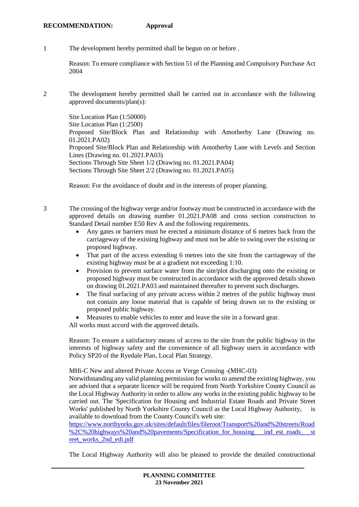1 The development hereby permitted shall be begun on or before .

Reason: To ensure compliance with Section 51 of the Planning and Compulsory Purchase Act 2004

2 The development hereby permitted shall be carried out in accordance with the following approved documents/plan(s):

Site Location Plan (1:50000) Site Location Plan (1:2500) Proposed Site/Block Plan and Relationship with Amotherby Lane (Drawing no. 01.2021.PA02) Proposed Site/Block Plan and Relationship with Amotherby Lane with Levels and Section Lines (Drawing no. 01.2021.PA03) Sections Through Site Sheet 1/2 (Drawing no. 01.2021.PA04) Sections Through Site Sheet 2/2 (Drawing no. 01.2021.PA05)

Reason: For the avoidance of doubt and in the interests of proper planning.

3 The crossing of the highway verge and/or footway must be constructed in accordance with the approved details on drawing number 01.2021.PA08 and cross section construction to Standard Detail number E50 Rev A and the following requirements.

- Any gates or barriers must be erected a minimum distance of 6 metres back from the carriageway of the existing highway and must not be able to swing over the existing or proposed highway.
- That part of the access extending 6 metres into the site from the carriageway of the existing highway must be at a gradient not exceeding 1:10.
- Provision to prevent surface water from the site/plot discharging onto the existing or proposed highway must be constructed in accordance with the approved details shown on drawing 01.2021.PA03 and maintained thereafter to prevent such discharges.
- The final surfacing of any private access within 2 metres of the public highway must not contain any loose material that is capable of being drawn on to the existing or proposed public highway.
- Measures to enable vehicles to enter and leave the site in a forward gear.

All works must accord with the approved details.

Reason: To ensure a satisfactory means of access to the site from the public highway in the interests of highway safety and the convenience of all highway users in accordance with Policy SP20 of the Ryedale Plan, Local Plan Strategy.

MHi-C New and altered Private Access or Verge Crossing -(MHC-03)

Notwithstanding any valid planning permission for works to amend the existing highway, you are advised that a separate licence will be required from North Yorkshire County Council as the Local Highway Authority in order to allow any works in the existing public highway to be carried out. The 'Specification for Housing and Industrial Estate Roads and Private Street Works' published by North Yorkshire County Council as the Local Highway Authority, is available to download from the County Council's web site:

[https://www.northyorks.gov.uk/sites/default/files/fileroot/Transport%20and%20streets/Road](https://www.northyorks.gov.uk/sites/default/files/fileroot/Transport%20and%20streets/Road%2C%20highways%20and%20pavements/Specification_for_housing___ind_est_roads___street_works_2nd_edi.pdf) %2C%20highways%20and%20pavements/Specification for housing ind est roads st [reet\\_works\\_2nd\\_edi.pdf](https://www.northyorks.gov.uk/sites/default/files/fileroot/Transport%20and%20streets/Road%2C%20highways%20and%20pavements/Specification_for_housing___ind_est_roads___street_works_2nd_edi.pdf)

The Local Highway Authority will also be pleased to provide the detailed constructional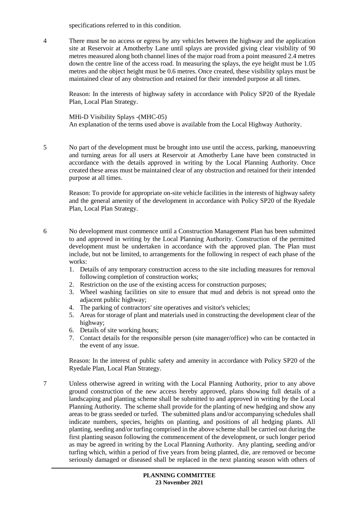specifications referred to in this condition.

4 There must be no access or egress by any vehicles between the highway and the application site at Reservoir at Amotherby Lane until splays are provided giving clear visibility of 90 metres measured along both channel lines of the major road from a point measured 2.4 metres down the centre line of the access road. In measuring the splays, the eye height must be 1.05 metres and the object height must be 0.6 metres. Once created, these visibility splays must be maintained clear of any obstruction and retained for their intended purpose at all times.

Reason: In the interests of highway safety in accordance with Policy SP20 of the Ryedale Plan, Local Plan Strategy.

MHi-D Visibility Splays -(MHC-05) An explanation of the terms used above is available from the Local Highway Authority.

5 No part of the development must be brought into use until the access, parking, manoeuvring and turning areas for all users at Reservoir at Amotherby Lane have been constructed in accordance with the details approved in writing by the Local Planning Authority. Once created these areas must be maintained clear of any obstruction and retained for their intended purpose at all times.

Reason: To provide for appropriate on-site vehicle facilities in the interests of highway safety and the general amenity of the development in accordance with Policy SP20 of the Ryedale Plan, Local Plan Strategy.

- 6 No development must commence until a Construction Management Plan has been submitted to and approved in writing by the Local Planning Authority. Construction of the permitted development must be undertaken in accordance with the approved plan. The Plan must include, but not be limited, to arrangements for the following in respect of each phase of the works:
	- 1. Details of any temporary construction access to the site including measures for removal following completion of construction works;
	- 2. Restriction on the use of the existing access for construction purposes;
	- 3. Wheel washing facilities on site to ensure that mud and debris is not spread onto the adjacent public highway;
	- 4. The parking of contractors' site operatives and visitor's vehicles;
	- 5. Areas for storage of plant and materials used in constructing the development clear of the highway;
	- 6. Details of site working hours;
	- 7. Contact details for the responsible person (site manager/office) who can be contacted in the event of any issue.

Reason: In the interest of public safety and amenity in accordance with Policy SP20 of the Ryedale Plan, Local Plan Strategy.

7 Unless otherwise agreed in writing with the Local Planning Authority, prior to any above ground construction of the new access hereby approved, plans showing full details of a landscaping and planting scheme shall be submitted to and approved in writing by the Local Planning Authority. The scheme shall provide for the planting of new hedging and show any areas to be grass seeded or turfed. The submitted plans and/or accompanying schedules shall indicate numbers, species, heights on planting, and positions of all hedging plants. All planting, seeding and/or turfing comprised in the above scheme shall be carried out during the first planting season following the commencement of the development, or such longer period as may be agreed in writing by the Local Planning Authority. Any planting, seeding and/or turfing which, within a period of five years from being planted, die, are removed or become seriously damaged or diseased shall be replaced in the next planting season with others of